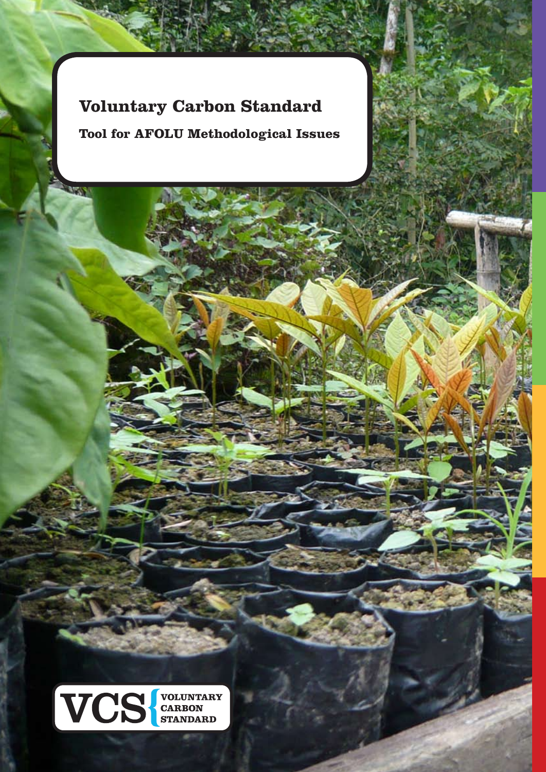# **Voluntary Carbon Standard**

**MERS** 

**Tool for AFOLU Methodological Issues**



ww.v-c-s.org © VCS Association 1999 of the United States of the United States and Department of the United States and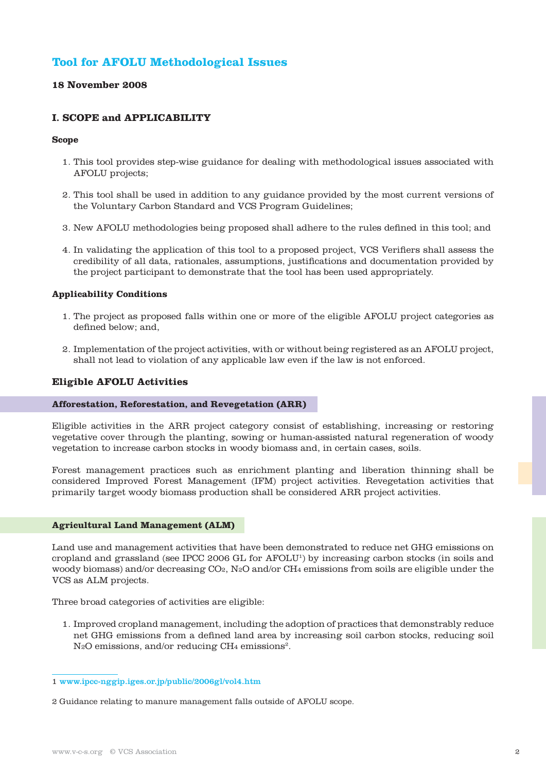# **Tool for AFOLU Methodological Issues**

# **18 November 2008**

# **I. SCOPE and APPLICABILITY**

#### **Scope**

- 1. This tool provides step-wise guidance for dealing with methodological issues associated with AFOLU projects;
- 2. This tool shall be used in addition to any guidance provided by the most current versions of the Voluntary Carbon Standard and VCS Program Guidelines;
- 3. New AFOLU methodologies being proposed shall adhere to the rules defined in this tool; and
- 4. In validating the application of this tool to a proposed project, VCS Verifiers shall assess the credibility of all data, rationales, assumptions, justifications and documentation provided by the project participant to demonstrate that the tool has been used appropriately.

## **Applicability Conditions**

- 1. The project as proposed falls within one or more of the eligible AFOLU project categories as defined below; and,
- 2. Implementation of the project activities, with or without being registered as an AFOLU project, shall not lead to violation of any applicable law even if the law is not enforced.

## **Eligible AFOLU Activities**

#### **Afforestation, Reforestation, and Revegetation (ARR)**

Eligible activities in the ARR project category consist of establishing, increasing or restoring vegetative cover through the planting, sowing or human-assisted natural regeneration of woody vegetation to increase carbon stocks in woody biomass and, in certain cases, soils.

Forest management practices such as enrichment planting and liberation thinning shall be considered Improved Forest Management (IFM) project activities. Revegetation activities that primarily target woody biomass production shall be considered ARR project activities.

#### **Agricultural Land Management (ALM)**

Land use and management activities that have been demonstrated to reduce net GHG emissions on cropland and grassland (see IPCC 2006 GL for AFOLU1) by increasing carbon stocks (in soils and woody biomass) and/or decreasing CO2, N2O and/or CH4 emissions from soils are eligible under the VCS as ALM projects.

Three broad categories of activities are eligible:

1. Improved cropland management, including the adoption of practices that demonstrably reduce net GHG emissions from a defined land area by increasing soil carbon stocks, reducing soil N<sub>2</sub>O emissions, and/or reducing CH<sub>4</sub> emissions<sup>2</sup>.

2 Guidance relating to manure management falls outside of AFOLU scope.

<sup>1</sup> www.ipcc-nggip.iges.or.jp/public/2006gl/vol4.htm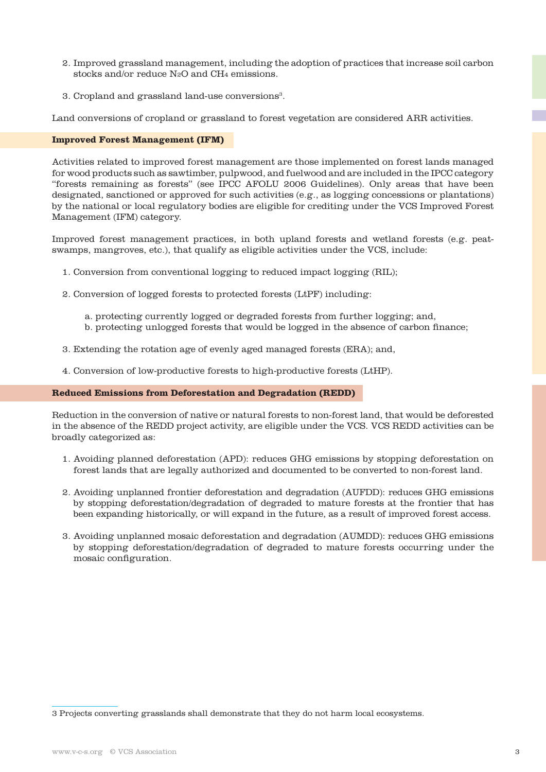- 2. Improved grassland management, including the adoption of practices that increase soil carbon stocks and/or reduce N2O and CH4 emissions.
- 3. Cropland and grassland land-use conversions<sup>3</sup>.

Land conversions of cropland or grassland to forest vegetation are considered ARR activities.

#### **Improved Forest Management (IFM)**

Activities related to improved forest management are those implemented on forest lands managed for wood products such as sawtimber, pulpwood, and fuelwood and are included in the IPCC category "forests remaining as forests" (see IPCC AFOLU 2006 Guidelines). Only areas that have been designated, sanctioned or approved for such activities (e.g., as logging concessions or plantations) by the national or local regulatory bodies are eligible for crediting under the VCS Improved Forest Management (IFM) category.

Improved forest management practices, in both upland forests and wetland forests (e.g. peatswamps, mangroves, etc.), that qualify as eligible activities under the VCS, include:

- 1. Conversion from conventional logging to reduced impact logging (RIL);
- 2. Conversion of logged forests to protected forests (LtPF) including:
	- a. protecting currently logged or degraded forests from further logging; and,
	- b. protecting unlogged forests that would be logged in the absence of carbon finance;
- 3. Extending the rotation age of evenly aged managed forests (ERA); and,
- 4. Conversion of low-productive forests to high-productive forests (LtHP).

#### **Reduced Emissions from Deforestation and Degradation (REDD)**

Reduction in the conversion of native or natural forests to non-forest land, that would be deforested in the absence of the REDD project activity, are eligible under the VCS. VCS REDD activities can be broadly categorized as:

- 1. Avoiding planned deforestation (APD): reduces GHG emissions by stopping deforestation on forest lands that are legally authorized and documented to be converted to non-forest land.
- 2. Avoiding unplanned frontier deforestation and degradation (AUFDD): reduces GHG emissions by stopping deforestation/degradation of degraded to mature forests at the frontier that has been expanding historically, or will expand in the future, as a result of improved forest access.
- 3. Avoiding unplanned mosaic deforestation and degradation (AUMDD): reduces GHG emissions by stopping deforestation/degradation of degraded to mature forests occurring under the mosaic configuration.

<sup>3</sup> Projects converting grasslands shall demonstrate that they do not harm local ecosystems.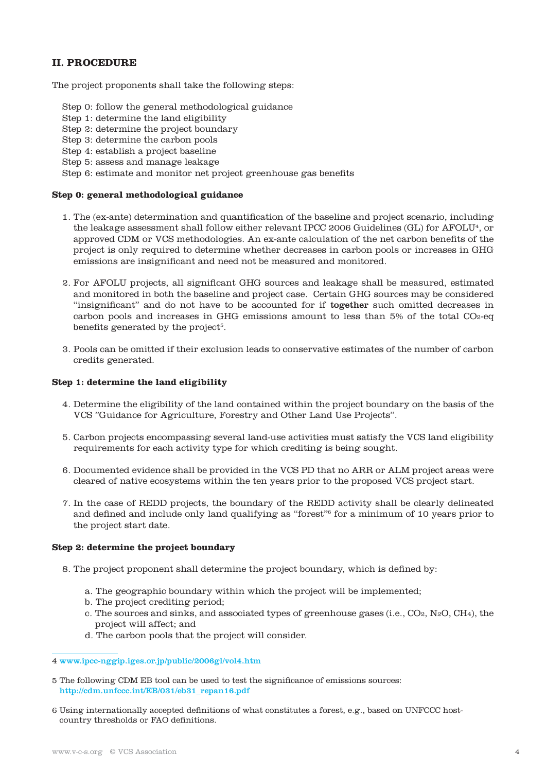# **II. PROCEDURE**

The project proponents shall take the following steps:

- Step 0: follow the general methodological guidance
- Step 1: determine the land eligibility
- Step 2: determine the project boundary
- Step 3: determine the carbon pools
- Step 4: establish a project baseline
- Step 5: assess and manage leakage

Step 6: estimate and monitor net project greenhouse gas benefits

# **Step 0: general methodological guidance**

- 1. The (ex-ante) determination and quantification of the baseline and project scenario, including the leakage assessment shall follow either relevant IPCC 2006 Guidelines (GL) for AFOLU4, or approved CDM or VCS methodologies. An ex-ante calculation of the net carbon benefits of the project is only required to determine whether decreases in carbon pools or increases in GHG emissions are insignificant and need not be measured and monitored.
- 2. For AFOLU projects, all significant GHG sources and leakage shall be measured, estimated and monitored in both the baseline and project case. Certain GHG sources may be considered "insignificant" and do not have to be accounted for if together such omitted decreases in carbon pools and increases in GHG emissions amount to less than 5% of the total CO2-eq benefits generated by the project<sup>5</sup>.
- 3. Pools can be omitted if their exclusion leads to conservative estimates of the number of carbon credits generated.

## **Step 1: determine the land eligibility**

- 4. Determine the eligibility of the land contained within the project boundary on the basis of the VCS "Guidance for Agriculture, Forestry and Other Land Use Projects".
- 5. Carbon projects encompassing several land-use activities must satisfy the VCS land eligibility requirements for each activity type for which crediting is being sought.
- 6. Documented evidence shall be provided in the VCS PD that no ARR or ALM project areas were cleared of native ecosystems within the ten years prior to the proposed VCS project start.
- 7. In the case of REDD projects, the boundary of the REDD activity shall be clearly delineated and defined and include only land qualifying as "forest"6 for a minimum of 10 years prior to the project start date.

# **Step 2: determine the project boundary**

- 8. The project proponent shall determine the project boundary, which is defined by:
	- a. The geographic boundary within which the project will be implemented;
	- b. The project crediting period;
	- c. The sources and sinks, and associated types of greenhouse gases (i.e., CO2, N2O, CH4), the project will affect; and
	- d. The carbon pools that the project will consider.

- 5 The following CDM EB tool can be used to test the significance of emissions sources: http://cdm.unfccc.int/EB/031/eb31\_repan16.pdf
- 6 Using internationally accepted definitions of what constitutes a forest, e.g., based on UNFCCC hostcountry thresholds or FAO definitions.

<sup>4</sup> www.ipcc-nggip.iges.or.jp/public/2006gl/vol4.htm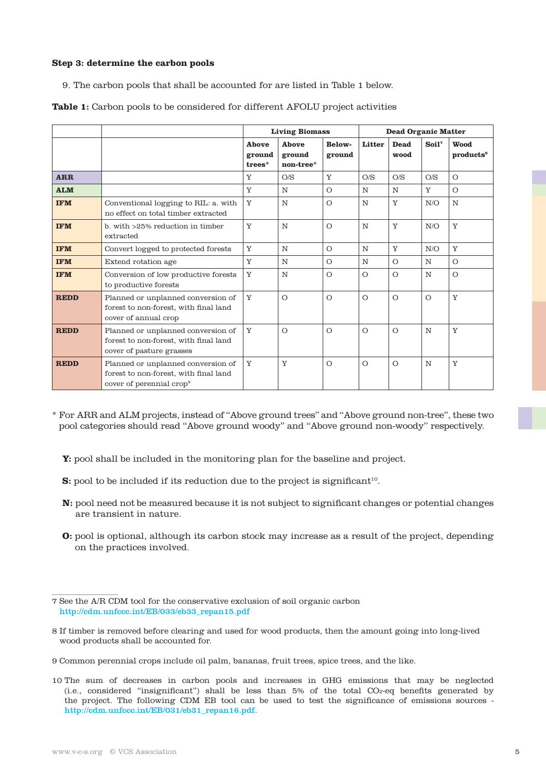#### **Step 3: determine the carbon pools**

9. The carbon pools that shall be accounted for are listed in Table 1 below.

|             |                                                                                                                     | <b>Living Biomass</b>     |                              |                  | <b>Dead Organic Matter</b> |                     |                   |                               |
|-------------|---------------------------------------------------------------------------------------------------------------------|---------------------------|------------------------------|------------------|----------------------------|---------------------|-------------------|-------------------------------|
|             |                                                                                                                     | Ahove<br>ground<br>trees* | Ahove<br>ground<br>non-tree* | Below-<br>ground | Litter                     | <b>Dead</b><br>wood | Soil <sup>7</sup> | Wood<br>products <sup>8</sup> |
| <b>ARR</b>  |                                                                                                                     | Y                         | O/S                          | Y                | O/S                        | O/S                 | O/S               | $\circ$                       |
| <b>ALM</b>  |                                                                                                                     | Y                         | N                            | $\Omega$         | N                          | $\mathbb N$         | Y                 | $\Omega$                      |
| <b>IFM</b>  | Conventional logging to RIL: a. with<br>no effect on total timber extracted                                         | Y                         | N                            | $\Omega$         | N                          | Y                   | N/O               | N                             |
| <b>IFM</b>  | b. with >25% reduction in timber<br>extracted                                                                       | Y                         | N                            | $\Omega$         | N                          | Y                   | N/O               | Y                             |
| <b>IFM</b>  | Convert logged to protected forests                                                                                 | Y                         | N                            | $\circ$          | $\mathbb N$                | Y                   | N/O               | Y                             |
| <b>IFM</b>  | Extend rotation age                                                                                                 | Y                         | N                            | $\Omega$         | N                          | $\circ$             | N                 | $\circ$                       |
| <b>IFM</b>  | Conversion of low productive forests<br>to productive forests                                                       | Y                         | N                            | $\Omega$         | $\Omega$                   | $\circ$             | N                 | $\circ$                       |
| <b>REDD</b> | Planned or unplanned conversion of<br>forest to non-forest, with final land<br>cover of annual crop                 | Y                         | $\Omega$                     | $\Omega$         | $\Omega$                   | $\circ$             | $\Omega$          | Y                             |
| <b>REDD</b> | Planned or unplanned conversion of<br>forest to non-forest, with final land<br>cover of pasture grasses             | Y                         | $\Omega$                     | $\Omega$         | $\Omega$                   | $\circ$             | N                 | Y                             |
| <b>REDD</b> | Planned or unplanned conversion of<br>forest to non-forest, with final land<br>cover of perennial crop <sup>9</sup> | Y                         | Y                            | $\circ$          | $\circ$                    | $\circ$             | N                 | Y                             |

**Table 1:** Carbon pools to be considered for different AFOLU project activities

- \* For ARR and ALM projects, instead of "Above ground trees" and "Above ground non-tree", these two pool categories should read "Above ground woody" and "Above ground non-woody" respectively.
	- **Y:** pool shall be included in the monitoring plan for the baseline and project.
	- **S:** pool to be included if its reduction due to the project is significant<sup>10</sup>.
	- **N:** pool need not be measured because it is not subject to significant changes or potential changes are transient in nature.
	- **O:** pool is optional, although its carbon stock may increase as a result of the project, depending on the practices involved.

- 8 If timber is removed before clearing and used for wood products, then the amount going into long-lived wood products shall be accounted for.
- 9 Common perennial crops include oil palm, bananas, fruit trees, spice trees, and the like.
- 10 The sum of decreases in carbon pools and increases in GHG emissions that may be neglected (i.e., considered "insignificant") shall be less than 5% of the total CO2-eq benefits generated by the project. The following CDM EB tool can be used to test the significance of emissions sources http://cdm.unfccc.int/EB/031/eb31\_repan16.pdf.

<sup>7</sup> See the A/R CDM tool for the conservative exclusion of soil organic carbon http://cdm.unfccc.int/EB/033/eb33\_repan15.pdf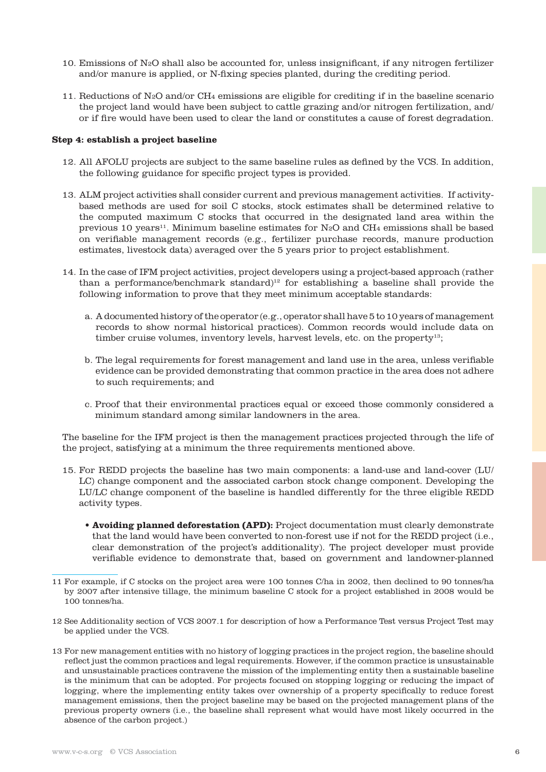- 10. Emissions of N2O shall also be accounted for, unless insignificant, if any nitrogen fertilizer and/or manure is applied, or N-fixing species planted, during the crediting period.
- 11. Reductions of N2O and/or CH4 emissions are eligible for crediting if in the baseline scenario the project land would have been subject to cattle grazing and/or nitrogen fertilization, and/ or if fire would have been used to clear the land or constitutes a cause of forest degradation.

#### **Step 4: establish a project baseline**

- 12. All AFOLU projects are subject to the same baseline rules as defined by the VCS. In addition, the following guidance for specific project types is provided.
- 13. ALM project activities shall consider current and previous management activities. If activitybased methods are used for soil C stocks, stock estimates shall be determined relative to the computed maximum C stocks that occurred in the designated land area within the previous 10 years<sup>11</sup>. Minimum baseline estimates for  $N_2O$  and CH<sub>4</sub> emissions shall be based on verifiable management records (e.g., fertilizer purchase records, manure production estimates, livestock data) averaged over the 5 years prior to project establishment.
- 14. In the case of IFM project activities, project developers using a project-based approach (rather than a performance/benchmark standard)<sup>12</sup> for establishing a baseline shall provide the following information to prove that they meet minimum acceptable standards:
	- a. A documented history of the operator (e.g., operator shall have 5 to 10 years of management records to show normal historical practices). Common records would include data on timber cruise volumes, inventory levels, harvest levels, etc. on the property<sup>13</sup>;
	- b. The legal requirements for forest management and land use in the area, unless verifiable evidence can be provided demonstrating that common practice in the area does not adhere to such requirements; and
	- c. Proof that their environmental practices equal or exceed those commonly considered a minimum standard among similar landowners in the area.

The baseline for the IFM project is then the management practices projected through the life of the project, satisfying at a minimum the three requirements mentioned above.

- 15. For REDD projects the baseline has two main components: a land-use and land-cover (LU/ LC) change component and the associated carbon stock change component. Developing the LU/LC change component of the baseline is handled differently for the three eligible REDD activity types.
	- **Avoiding planned deforestation (APD):** Project documentation must clearly demonstrate that the land would have been converted to non-forest use if not for the REDD project (i.e., clear demonstration of the project's additionality). The project developer must provide verifiable evidence to demonstrate that, based on government and landowner-planned

- 12 See Additionality section of VCS 2007.1 for description of how a Performance Test versus Project Test may be applied under the VCS.
- 13 For new management entities with no history of logging practices in the project region, the baseline should reflect just the common practices and legal requirements. However, if the common practice is unsustainable and unsustainable practices contravene the mission of the implementing entity then a sustainable baseline is the minimum that can be adopted. For projects focused on stopping logging or reducing the impact of logging, where the implementing entity takes over ownership of a property specifically to reduce forest management emissions, then the project baseline may be based on the projected management plans of the previous property owners (i.e., the baseline shall represent what would have most likely occurred in the absence of the carbon project.)

<sup>11</sup> For example, if C stocks on the project area were 100 tonnes C/ha in 2002, then declined to 90 tonnes/ha by 2007 after intensive tillage, the minimum baseline C stock for a project established in 2008 would be 100 tonnes/ha.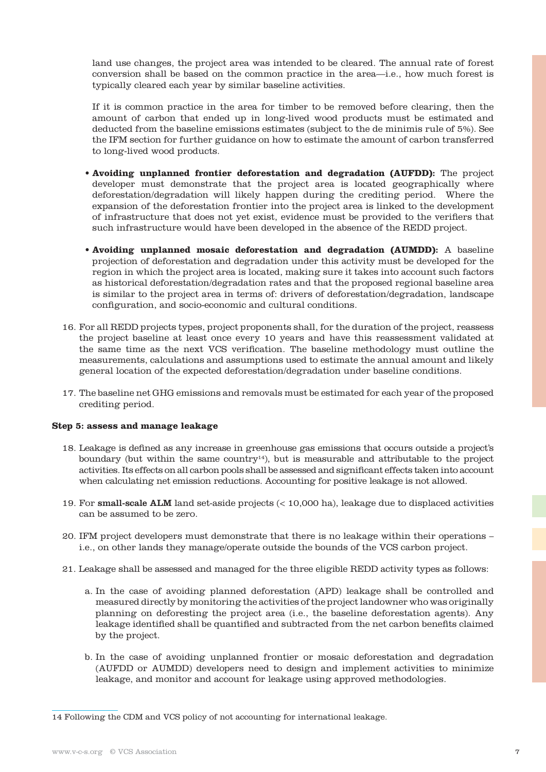land use changes, the project area was intended to be cleared. The annual rate of forest conversion shall be based on the common practice in the area—i.e., how much forest is typically cleared each year by similar baseline activities.

If it is common practice in the area for timber to be removed before clearing, then the amount of carbon that ended up in long-lived wood products must be estimated and deducted from the baseline emissions estimates (subject to the de minimis rule of 5%). See the IFM section for further guidance on how to estimate the amount of carbon transferred to long-lived wood products.

- **Avoiding unplanned frontier deforestation and degradation (AUFDD):** The project developer must demonstrate that the project area is located geographically where deforestation/degradation will likely happen during the crediting period. Where the expansion of the deforestation frontier into the project area is linked to the development of infrastructure that does not yet exist, evidence must be provided to the verifiers that such infrastructure would have been developed in the absence of the REDD project.
- **Avoiding unplanned mosaic deforestation and degradation (AUMDD):** A baseline projection of deforestation and degradation under this activity must be developed for the region in which the project area is located, making sure it takes into account such factors as historical deforestation/degradation rates and that the proposed regional baseline area is similar to the project area in terms of: drivers of deforestation/degradation, landscape configuration, and socio-economic and cultural conditions.
- 16. For all REDD projects types, project proponents shall, for the duration of the project, reassess the project baseline at least once every 10 years and have this reassessment validated at the same time as the next VCS verification. The baseline methodology must outline the measurements, calculations and assumptions used to estimate the annual amount and likely general location of the expected deforestation/degradation under baseline conditions.
- 17. The baseline net GHG emissions and removals must be estimated for each year of the proposed crediting period.

# **Step 5: assess and manage leakage**

- 18. Leakage is defined as any increase in greenhouse gas emissions that occurs outside a project's boundary (but within the same country<sup>14</sup>), but is measurable and attributable to the project activities. Its effects on all carbon pools shall be assessed and significant effects taken into account when calculating net emission reductions. Accounting for positive leakage is not allowed.
- 19. For small-scale ALM land set-aside projects (< 10,000 ha), leakage due to displaced activities can be assumed to be zero.
- 20. IFM project developers must demonstrate that there is no leakage within their operations i.e., on other lands they manage/operate outside the bounds of the VCS carbon project.
- 21. Leakage shall be assessed and managed for the three eligible REDD activity types as follows:
	- a. In the case of avoiding planned deforestation (APD) leakage shall be controlled and measured directly by monitoring the activities of the project landowner who was originally planning on deforesting the project area (i.e., the baseline deforestation agents). Any leakage identified shall be quantified and subtracted from the net carbon benefits claimed by the project.
	- b. In the case of avoiding unplanned frontier or mosaic deforestation and degradation (AUFDD or AUMDD) developers need to design and implement activities to minimize leakage, and monitor and account for leakage using approved methodologies.

<sup>14</sup> Following the CDM and VCS policy of not accounting for international leakage.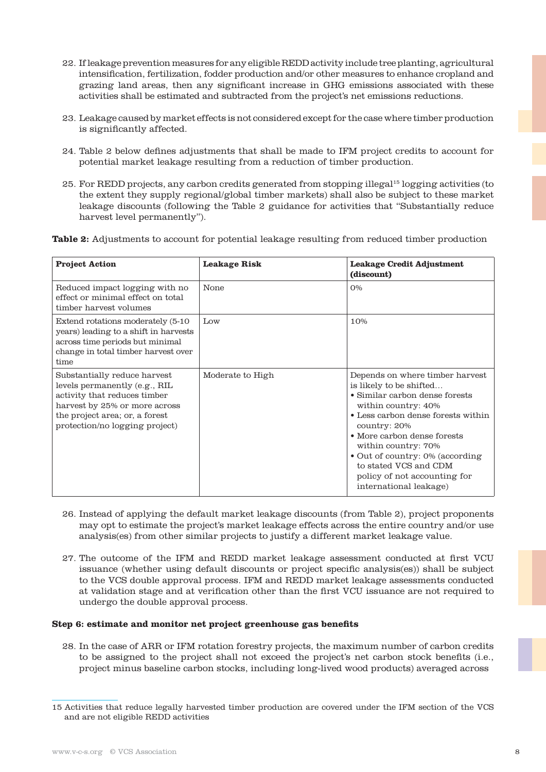- 22. If leakage prevention measures for any eligible REDD activity include tree planting, agricultural intensification, fertilization, fodder production and/or other measures to enhance cropland and grazing land areas, then any significant increase in GHG emissions associated with these activities shall be estimated and subtracted from the project's net emissions reductions.
- 23. Leakage caused by market effects is not considered except for the case where timber production is significantly affected.
- 24. Table 2 below defines adjustments that shall be made to IFM project credits to account for potential market leakage resulting from a reduction of timber production.
- 25. For REDD projects, any carbon credits generated from stopping illegal15 logging activities (to the extent they supply regional/global timber markets) shall also be subject to these market leakage discounts (following the Table 2 guidance for activities that "Substantially reduce harvest level permanently").

**Table 2:** Adjustments to account for potential leakage resulting from reduced timber production

| <b>Project Action</b>                                                                                                                                                                              | <b>Leakage Risk</b> | <b>Leakage Credit Adjustment</b><br>(discount)                                                                                                                                                                                                                                                                                                        |
|----------------------------------------------------------------------------------------------------------------------------------------------------------------------------------------------------|---------------------|-------------------------------------------------------------------------------------------------------------------------------------------------------------------------------------------------------------------------------------------------------------------------------------------------------------------------------------------------------|
| Reduced impact logging with no<br>effect or minimal effect on total<br>timber harvest volumes                                                                                                      | None                | $O\%$                                                                                                                                                                                                                                                                                                                                                 |
| Extend rotations moderately (5-10)<br>years) leading to a shift in harvests<br>across time periods but minimal<br>change in total timber harvest over<br>time                                      | $_{\text{Low}}$     | 10%                                                                                                                                                                                                                                                                                                                                                   |
| Substantially reduce harvest<br>levels permanently (e.g., RIL<br>activity that reduces timber<br>harvest by 25% or more across<br>the project area; or, a forest<br>protection/no logging project) | Moderate to High    | Depends on where timber harvest<br>is likely to be shifted<br>• Similar carbon dense forests<br>within country: 40%<br>• Less carbon dense forests within<br>country: 20%<br>• More carbon dense forests<br>within country: 70%<br>• Out of country: 0% (according<br>to stated VCS and CDM<br>policy of not accounting for<br>international leakage) |

- 26. Instead of applying the default market leakage discounts (from Table 2), project proponents may opt to estimate the project's market leakage effects across the entire country and/or use analysis(es) from other similar projects to justify a different market leakage value.
- 27. The outcome of the IFM and REDD market leakage assessment conducted at first VCU issuance (whether using default discounts or project specific analysis(es)) shall be subject to the VCS double approval process. IFM and REDD market leakage assessments conducted at validation stage and at verification other than the first VCU issuance are not required to undergo the double approval process.

#### **Step 6: estimate and monitor net project greenhouse gas benefits**

28. In the case of ARR or IFM rotation forestry projects, the maximum number of carbon credits to be assigned to the project shall not exceed the project's net carbon stock benefits (i.e., project minus baseline carbon stocks, including long-lived wood products) averaged across

<sup>15</sup> Activities that reduce legally harvested timber production are covered under the IFM section of the VCS and are not eligible REDD activities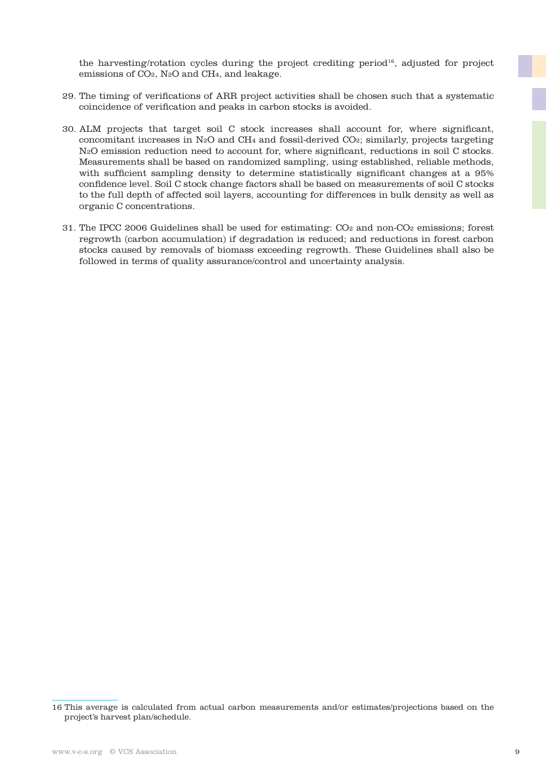the harvesting/rotation cycles during the project crediting period<sup>16</sup>, adjusted for project emissions of CO2, N2O and CH4, and leakage.

- 29. The timing of verifications of ARR project activities shall be chosen such that a systematic coincidence of verification and peaks in carbon stocks is avoided.
- 30. ALM projects that target soil C stock increases shall account for, where significant, concomitant increases in N2O and CH4 and fossil-derived CO2; similarly, projects targeting N2O emission reduction need to account for, where significant, reductions in soil C stocks. Measurements shall be based on randomized sampling, using established, reliable methods, with sufficient sampling density to determine statistically significant changes at a 95% confidence level. Soil C stock change factors shall be based on measurements of soil C stocks to the full depth of affected soil layers, accounting for differences in bulk density as well as organic C concentrations.
- 31. The IPCC 2006 Guidelines shall be used for estimating: CO2 and non-CO2 emissions; forest regrowth (carbon accumulation) if degradation is reduced; and reductions in forest carbon stocks caused by removals of biomass exceeding regrowth. These Guidelines shall also be followed in terms of quality assurance/control and uncertainty analysis.

<sup>16</sup> This average is calculated from actual carbon measurements and/or estimates/projections based on the project's harvest plan/schedule.